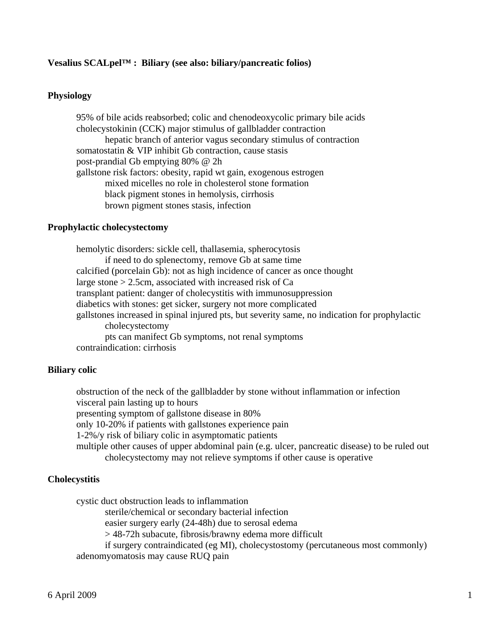# **Vesalius SCALpel™ : Biliary (see also: biliary/pancreatic folios)**

# **Physiology**

 95% of bile acids reabsorbed; colic and chenodeoxycolic primary bile acids cholecystokinin (CCK) major stimulus of gallbladder contraction hepatic branch of anterior vagus secondary stimulus of contraction somatostatin & VIP inhibit Gb contraction, cause stasis post-prandial Gb emptying 80% @ 2h gallstone risk factors: obesity, rapid wt gain, exogenous estrogen mixed micelles no role in cholesterol stone formation black pigment stones in hemolysis, cirrhosis brown pigment stones stasis, infection

### **Prophylactic cholecystectomy**

 hemolytic disorders: sickle cell, thallasemia, spherocytosis if need to do splenectomy, remove Gb at same time calcified (porcelain Gb): not as high incidence of cancer as once thought large stone > 2.5cm, associated with increased risk of Ca transplant patient: danger of cholecystitis with immunosuppression diabetics with stones: get sicker, surgery not more complicated gallstones increased in spinal injured pts, but severity same, no indication for prophylactic cholecystectomy pts can manifect Gb symptoms, not renal symptoms contraindication: cirrhosis

#### **Biliary colic**

 obstruction of the neck of the gallbladder by stone without inflammation or infection visceral pain lasting up to hours presenting symptom of gallstone disease in 80% only 10-20% if patients with gallstones experience pain 1-2%/y risk of biliary colic in asymptomatic patients multiple other causes of upper abdominal pain (e.g. ulcer, pancreatic disease) to be ruled out cholecystectomy may not relieve symptoms if other cause is operative

### **Cholecystitis**

cystic duct obstruction leads to inflammation

sterile/chemical or secondary bacterial infection

easier surgery early (24-48h) due to serosal edema

> 48-72h subacute, fibrosis/brawny edema more difficult

 if surgery contraindicated (eg MI), cholecystostomy (percutaneous most commonly) adenomyomatosis may cause RUQ pain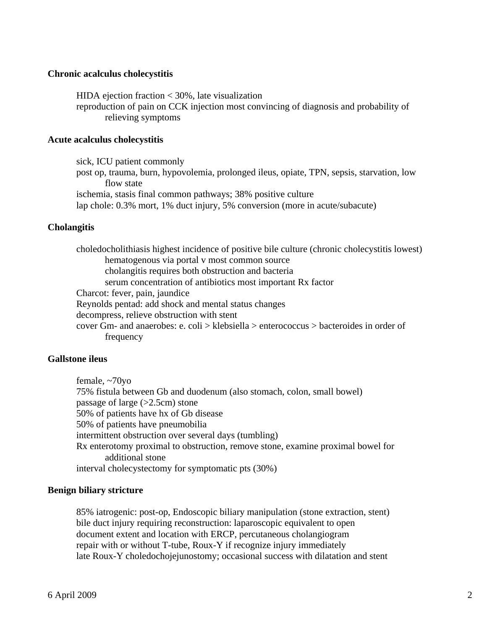### **Chronic acalculus cholecystitis**

 HIDA ejection fraction < 30%, late visualization reproduction of pain on CCK injection most convincing of diagnosis and probability of relieving symptoms

### **Acute acalculus cholecystitis**

 sick, ICU patient commonly post op, trauma, burn, hypovolemia, prolonged ileus, opiate, TPN, sepsis, starvation, low flow state ischemia, stasis final common pathways; 38% positive culture lap chole: 0.3% mort, 1% duct injury, 5% conversion (more in acute/subacute)

### **Cholangitis**

 choledocholithiasis highest incidence of positive bile culture (chronic cholecystitis lowest) hematogenous via portal v most common source cholangitis requires both obstruction and bacteria serum concentration of antibiotics most important Rx factor Charcot: fever, pain, jaundice Reynolds pentad: add shock and mental status changes decompress, relieve obstruction with stent cover Gm- and anaerobes: e. coli > klebsiella > enterococcus > bacteroides in order of frequency

#### **Gallstone ileus**

 female, ~70yo 75% fistula between Gb and duodenum (also stomach, colon, small bowel) passage of large  $(>2.5cm)$  stone 50% of patients have hx of Gb disease 50% of patients have pneumobilia intermittent obstruction over several days (tumbling) Rx enterotomy proximal to obstruction, remove stone, examine proximal bowel for additional stone interval cholecystectomy for symptomatic pts (30%)

#### **Benign biliary stricture**

 85% iatrogenic: post-op, Endoscopic biliary manipulation (stone extraction, stent) bile duct injury requiring reconstruction: laparoscopic equivalent to open document extent and location with ERCP, percutaneous cholangiogram repair with or without T-tube, Roux-Y if recognize injury immediately late Roux-Y choledochojejunostomy; occasional success with dilatation and stent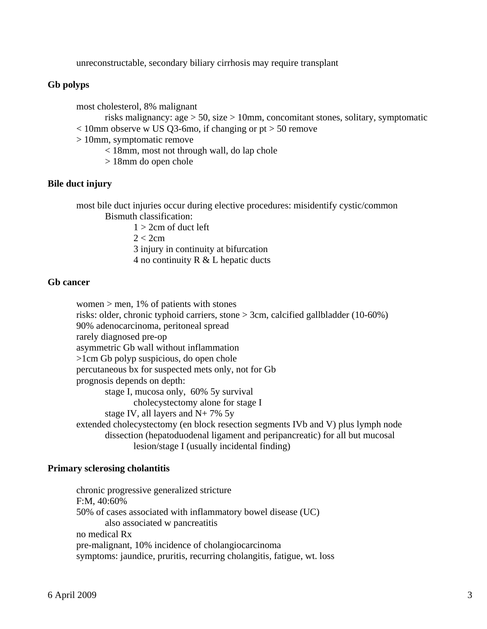unreconstructable, secondary biliary cirrhosis may require transplant

# **Gb polyps**

most cholesterol, 8% malignant

 risks malignancy: age > 50, size > 10mm, concomitant stones, solitary, symptomatic  $< 10$ mm observe w US Q3-6mo, if changing or pt  $> 50$  remove

- > 10mm, symptomatic remove
	- < 18mm, most not through wall, do lap chole
	- > 18mm do open chole

# **Bile duct injury**

 most bile duct injuries occur during elective procedures: misidentify cystic/common Bismuth classification:

 $1 > 2$ cm of duct left  $2 < 2$ cm 3 injury in continuity at bifurcation 4 no continuity R & L hepatic ducts

# **Gb cancer**

women  $>$  men, 1% of patients with stones risks: older, chronic typhoid carriers, stone > 3cm, calcified gallbladder (10-60%) 90% adenocarcinoma, peritoneal spread rarely diagnosed pre-op asymmetric Gb wall without inflammation >1cm Gb polyp suspicious, do open chole percutaneous bx for suspected mets only, not for Gb prognosis depends on depth: stage I, mucosa only, 60% 5y survival cholecystectomy alone for stage I stage IV, all layers and N+ 7% 5y extended cholecystectomy (en block resection segments IVb and V) plus lymph node dissection (hepatoduodenal ligament and peripancreatic) for all but mucosal lesion/stage I (usually incidental finding)

### **Primary sclerosing cholantitis**

 chronic progressive generalized stricture F:M, 40:60% 50% of cases associated with inflammatory bowel disease (UC) also associated w pancreatitis no medical Rx pre-malignant, 10% incidence of cholangiocarcinoma symptoms: jaundice, pruritis, recurring cholangitis, fatigue, wt. loss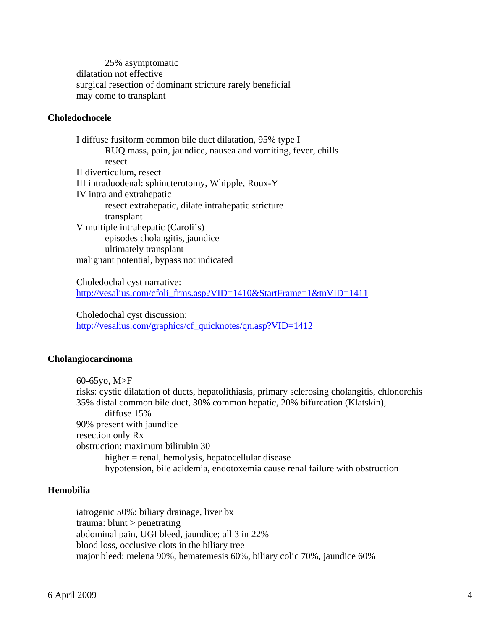25% asymptomatic dilatation not effective surgical resection of dominant stricture rarely beneficial may come to transplant

# **Choledochocele**

 I diffuse fusiform common bile duct dilatation, 95% type I RUQ mass, pain, jaundice, nausea and vomiting, fever, chills resect II diverticulum, resect III intraduodenal: sphincterotomy, Whipple, Roux-Y IV intra and extrahepatic resect extrahepatic, dilate intrahepatic stricture transplant V multiple intrahepatic (Caroli's) episodes cholangitis, jaundice ultimately transplant malignant potential, bypass not indicated

 Choledochal cyst narrative: [http://vesalius.com/cfoli\\_frms.asp?VID=1410&StartFrame=1&tnVID=1411](http://vesalius.com/cfoli_frms.asp?VID=1410&StartFrame=1&tnVID=1411)

 Choledochal cyst discussion: [http://vesalius.com/graphics/cf\\_quicknotes/qn.asp?VID=1412](http://vesalius.com/graphics/cf_quicknotes/qn.asp?VID=1412)

### **Cholangiocarcinoma**

 60-65yo, M>F risks: cystic dilatation of ducts, hepatolithiasis, primary sclerosing cholangitis, chlonorchis 35% distal common bile duct, 30% common hepatic, 20% bifurcation (Klatskin), diffuse 15% 90% present with jaundice resection only Rx obstruction: maximum bilirubin 30 higher = renal, hemolysis, hepatocellular disease hypotension, bile acidemia, endotoxemia cause renal failure with obstruction

# **Hemobilia**

 iatrogenic 50%: biliary drainage, liver bx trauma: blunt > penetrating abdominal pain, UGI bleed, jaundice; all 3 in 22% blood loss, occlusive clots in the biliary tree major bleed: melena 90%, hematemesis 60%, biliary colic 70%, jaundice 60%